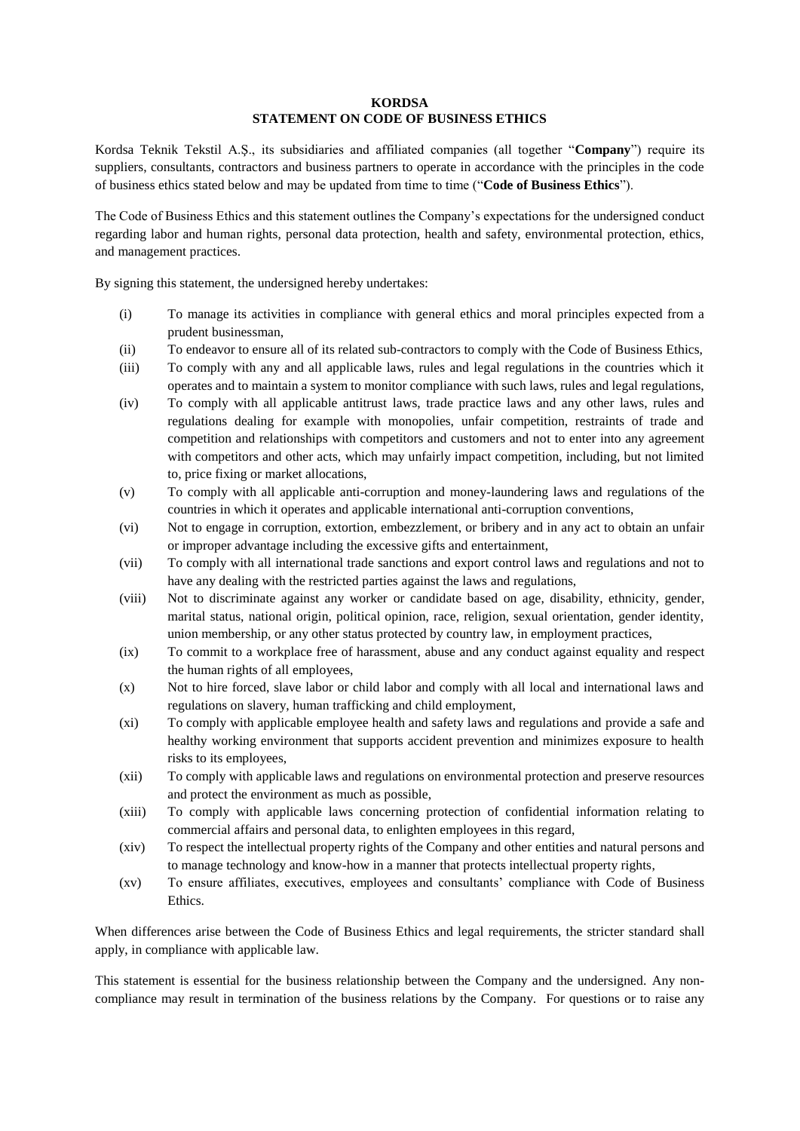## **KORDSA STATEMENT ON CODE OF BUSINESS ETHICS**

Kordsa Teknik Tekstil A.Ş., its subsidiaries and affiliated companies (all together "**Company**") require its suppliers, consultants, contractors and business partners to operate in accordance with the principles in the code of business ethics stated below and may be updated from time to time ("**Code of Business Ethics**").

The Code of Business Ethics and this statement outlines the Company's expectations for the undersigned conduct regarding labor and human rights, personal data protection, health and safety, environmental protection, ethics, and management practices.

By signing this statement, the undersigned hereby undertakes:

- (i) To manage its activities in compliance with general ethics and moral principles expected from a prudent businessman,
- (ii) To endeavor to ensure all of its related sub-contractors to comply with the Code of Business Ethics,
- (iii) To comply with any and all applicable laws, rules and legal regulations in the countries which it operates and to maintain a system to monitor compliance with such laws, rules and legal regulations,
- (iv) To comply with all applicable antitrust laws, trade practice laws and any other laws, rules and regulations dealing for example with monopolies, unfair competition, restraints of trade and competition and relationships with competitors and customers and not to enter into any agreement with competitors and other acts, which may unfairly impact competition, including, but not limited to, price fixing or market allocations,
- (v) To comply with all applicable anti-corruption and money-laundering laws and regulations of the countries in which it operates and applicable international anti-corruption conventions,
- (vi) Not to engage in corruption, extortion, embezzlement, or bribery and in any act to obtain an unfair or improper advantage including the excessive gifts and entertainment,
- (vii) To comply with all international trade sanctions and export control laws and regulations and not to have any dealing with the restricted parties against the laws and regulations,
- (viii) Not to discriminate against any worker or candidate based on age, disability, ethnicity, gender, marital status, national origin, political opinion, race, religion, sexual orientation, gender identity, union membership, or any other status protected by country law, in employment practices,
- (ix) To commit to a workplace free of harassment, abuse and any conduct against equality and respect the human rights of all employees,
- (x) Not to hire forced, slave labor or child labor and comply with all local and international laws and regulations on slavery, human trafficking and child employment,
- (xi) To comply with applicable employee health and safety laws and regulations and provide a safe and healthy working environment that supports accident prevention and minimizes exposure to health risks to its employees,
- (xii) To comply with applicable laws and regulations on environmental protection and preserve resources and protect the environment as much as possible,
- (xiii) To comply with applicable laws concerning protection of confidential information relating to commercial affairs and personal data, to enlighten employees in this regard,
- (xiv) To respect the intellectual property rights of the Company and other entities and natural persons and to manage technology and know-how in a manner that protects intellectual property rights,
- (xv) To ensure affiliates, executives, employees and consultants' compliance with Code of Business Ethics.

When differences arise between the Code of Business Ethics and legal requirements, the stricter standard shall apply, in compliance with applicable law.

This statement is essential for the business relationship between the Company and the undersigned. Any noncompliance may result in termination of the business relations by the Company. For questions or to raise any